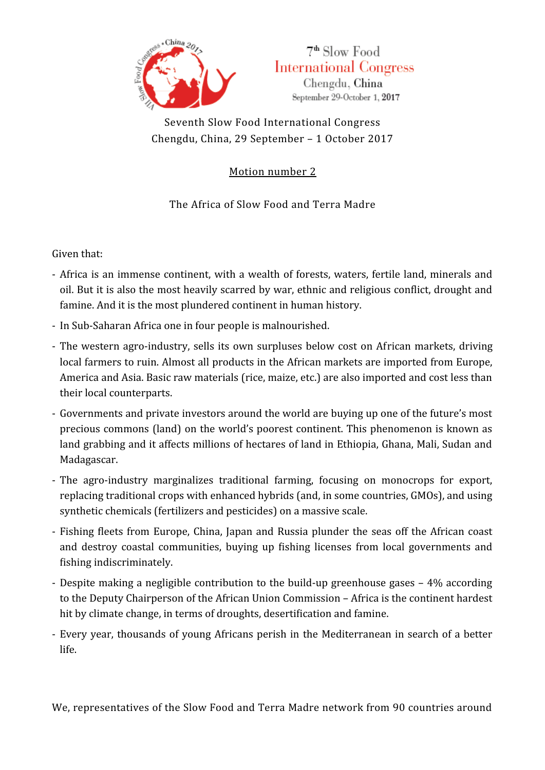



Seventh Slow Food International Congress Chengdu, China, 29 September – 1 October 2017

Motion number 2

The Africa of Slow Food and Terra Madre

Given that:

- Africa is an immense continent, with a wealth of forests, waters, fertile land, minerals and oil. But it is also the most heavily scarred by war, ethnic and religious conflict, drought and famine. And it is the most plundered continent in human history.
- In Sub-Saharan Africa one in four people is malnourished.
- The western agro-industry, sells its own surpluses below cost on African markets, driving local farmers to ruin. Almost all products in the African markets are imported from Europe, America and Asia. Basic raw materials (rice, maize, etc.) are also imported and cost less than their local counterparts.
- Governments and private investors around the world are buying up one of the future's most precious commons (land) on the world's poorest continent. This phenomenon is known as land grabbing and it affects millions of hectares of land in Ethiopia, Ghana, Mali, Sudan and Madagascar.
- The agro-industry marginalizes traditional farming, focusing on monocrops for export, replacing traditional crops with enhanced hybrids (and, in some countries, GMOs), and using synthetic chemicals (fertilizers and pesticides) on a massive scale.
- Fishing fleets from Europe, China, Japan and Russia plunder the seas off the African coast and destroy coastal communities, buying up fishing licenses from local governments and fishing indiscriminately.
- Despite making a negligible contribution to the build-up greenhouse gases 4% according to the Deputy Chairperson of the African Union Commission – Africa is the continent hardest hit by climate change, in terms of droughts, desertification and famine.
- Every year, thousands of young Africans perish in the Mediterranean in search of a better life.

We, representatives of the Slow Food and Terra Madre network from 90 countries around